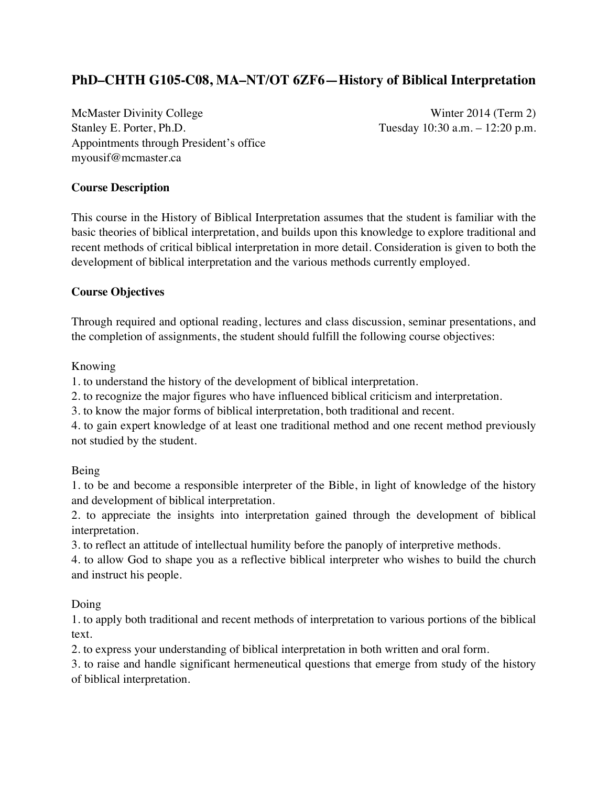# **PhD–CHTH G105-C08, MA–NT/OT 6ZF6—History of Biblical Interpretation**

McMaster Divinity College Winter 2014 (Term 2) Stanley E. Porter, Ph.D. Tuesday 10:30 a.m. – 12:20 p.m. Appointments through President's office myousif@mcmaster.ca

## **Course Description**

This course in the History of Biblical Interpretation assumes that the student is familiar with the basic theories of biblical interpretation, and builds upon this knowledge to explore traditional and recent methods of critical biblical interpretation in more detail. Consideration is given to both the development of biblical interpretation and the various methods currently employed.

## **Course Objectives**

Through required and optional reading, lectures and class discussion, seminar presentations, and the completion of assignments, the student should fulfill the following course objectives:

## Knowing

1. to understand the history of the development of biblical interpretation.

2. to recognize the major figures who have influenced biblical criticism and interpretation.

3. to know the major forms of biblical interpretation, both traditional and recent.

4. to gain expert knowledge of at least one traditional method and one recent method previously not studied by the student.

## Being

1. to be and become a responsible interpreter of the Bible, in light of knowledge of the history and development of biblical interpretation.

2. to appreciate the insights into interpretation gained through the development of biblical interpretation.

3. to reflect an attitude of intellectual humility before the panoply of interpretive methods.

4. to allow God to shape you as a reflective biblical interpreter who wishes to build the church and instruct his people.

## Doing

1. to apply both traditional and recent methods of interpretation to various portions of the biblical text.

2. to express your understanding of biblical interpretation in both written and oral form.

3. to raise and handle significant hermeneutical questions that emerge from study of the history of biblical interpretation.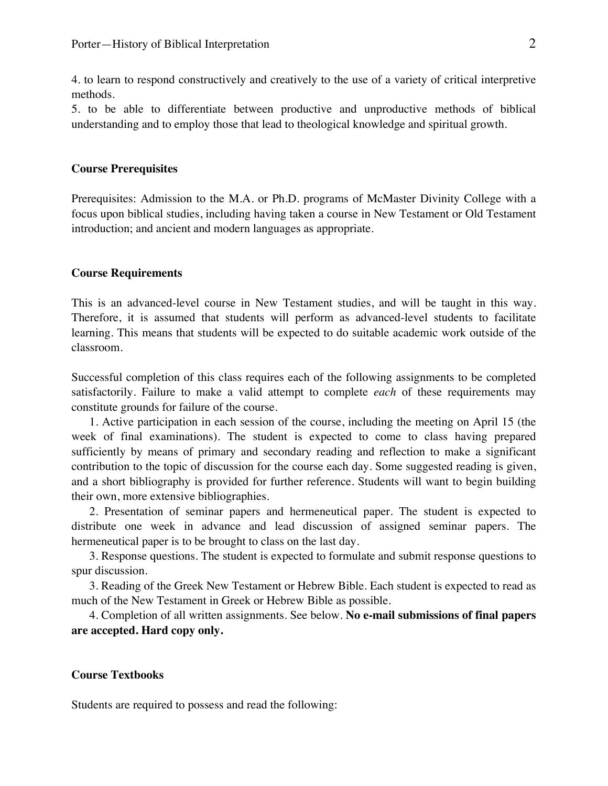4. to learn to respond constructively and creatively to the use of a variety of critical interpretive methods.

5. to be able to differentiate between productive and unproductive methods of biblical understanding and to employ those that lead to theological knowledge and spiritual growth.

### **Course Prerequisites**

Prerequisites: Admission to the M.A. or Ph.D. programs of McMaster Divinity College with a focus upon biblical studies, including having taken a course in New Testament or Old Testament introduction; and ancient and modern languages as appropriate.

#### **Course Requirements**

This is an advanced-level course in New Testament studies, and will be taught in this way. Therefore, it is assumed that students will perform as advanced-level students to facilitate learning. This means that students will be expected to do suitable academic work outside of the classroom.

Successful completion of this class requires each of the following assignments to be completed satisfactorily. Failure to make a valid attempt to complete *each* of these requirements may constitute grounds for failure of the course.

1. Active participation in each session of the course, including the meeting on April 15 (the week of final examinations). The student is expected to come to class having prepared sufficiently by means of primary and secondary reading and reflection to make a significant contribution to the topic of discussion for the course each day. Some suggested reading is given, and a short bibliography is provided for further reference. Students will want to begin building their own, more extensive bibliographies.

2. Presentation of seminar papers and hermeneutical paper. The student is expected to distribute one week in advance and lead discussion of assigned seminar papers. The hermeneutical paper is to be brought to class on the last day.

3. Response questions. The student is expected to formulate and submit response questions to spur discussion.

3. Reading of the Greek New Testament or Hebrew Bible. Each student is expected to read as much of the New Testament in Greek or Hebrew Bible as possible.

4. Completion of all written assignments. See below. **No e-mail submissions of final papers are accepted. Hard copy only.**

#### **Course Textbooks**

Students are required to possess and read the following: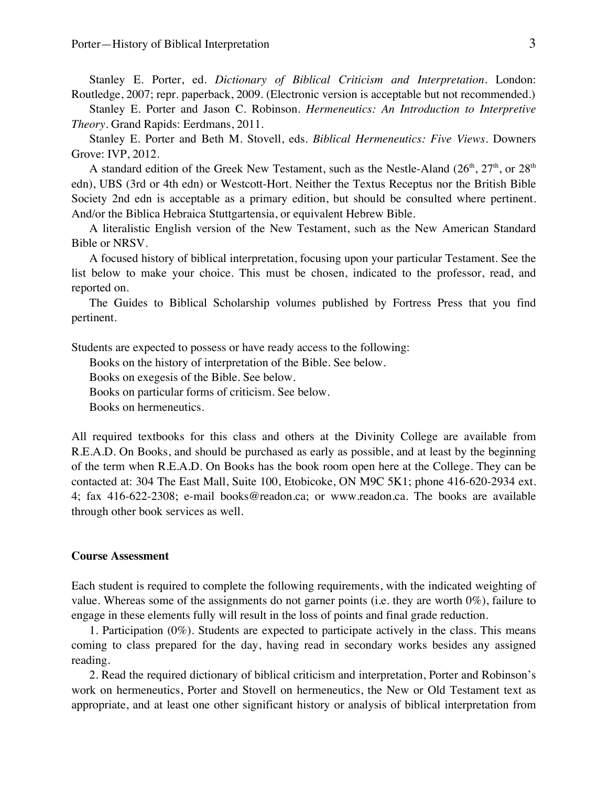Stanley E. Porter, ed. *Dictionary of Biblical Criticism and Interpretation*. London: Routledge, 2007; repr. paperback, 2009. (Electronic version is acceptable but not recommended.)

Stanley E. Porter and Jason C. Robinson. *Hermeneutics: An Introduction to Interpretive Theory*. Grand Rapids: Eerdmans, 2011.

Stanley E. Porter and Beth M. Stovell, eds. *Biblical Hermeneutics: Five Views*. Downers Grove: IVP, 2012.

A standard edition of the Greek New Testament, such as the Nestle-Aland  $(26<sup>th</sup>, 27<sup>th</sup>$ , or  $28<sup>th</sup>$ edn), UBS (3rd or 4th edn) or Westcott-Hort. Neither the Textus Receptus nor the British Bible Society 2nd edn is acceptable as a primary edition, but should be consulted where pertinent. And/or the Biblica Hebraica Stuttgartensia, or equivalent Hebrew Bible.

A literalistic English version of the New Testament, such as the New American Standard Bible or NRSV.

A focused history of biblical interpretation, focusing upon your particular Testament. See the list below to make your choice. This must be chosen, indicated to the professor, read, and reported on.

The Guides to Biblical Scholarship volumes published by Fortress Press that you find pertinent.

Students are expected to possess or have ready access to the following:

Books on the history of interpretation of the Bible. See below.

Books on exegesis of the Bible. See below.

Books on particular forms of criticism. See below.

Books on hermeneutics.

All required textbooks for this class and others at the Divinity College are available from R.E.A.D. On Books, and should be purchased as early as possible, and at least by the beginning of the term when R.E.A.D. On Books has the book room open here at the College. They can be contacted at: 304 The East Mall, Suite 100, Etobicoke, ON M9C 5K1; phone 416-620-2934 ext. 4; fax 416-622-2308; e-mail books@readon.ca; or www.readon.ca. The books are available through other book services as well.

#### **Course Assessment**

Each student is required to complete the following requirements, with the indicated weighting of value. Whereas some of the assignments do not garner points (i.e. they are worth 0%), failure to engage in these elements fully will result in the loss of points and final grade reduction.

1. Participation (0%). Students are expected to participate actively in the class. This means coming to class prepared for the day, having read in secondary works besides any assigned reading.

2. Read the required dictionary of biblical criticism and interpretation, Porter and Robinson's work on hermeneutics, Porter and Stovell on hermeneutics, the New or Old Testament text as appropriate, and at least one other significant history or analysis of biblical interpretation from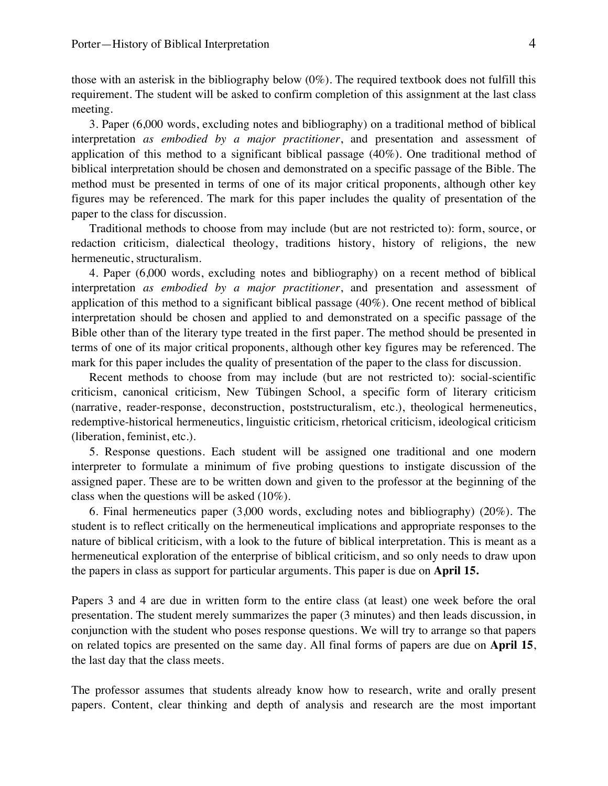those with an asterisk in the bibliography below (0%). The required textbook does not fulfill this requirement. The student will be asked to confirm completion of this assignment at the last class meeting.

3. Paper (6,000 words, excluding notes and bibliography) on a traditional method of biblical interpretation *as embodied by a major practitioner*, and presentation and assessment of application of this method to a significant biblical passage (40%). One traditional method of biblical interpretation should be chosen and demonstrated on a specific passage of the Bible. The method must be presented in terms of one of its major critical proponents, although other key figures may be referenced. The mark for this paper includes the quality of presentation of the paper to the class for discussion.

Traditional methods to choose from may include (but are not restricted to): form, source, or redaction criticism, dialectical theology, traditions history, history of religions, the new hermeneutic, structuralism.

4. Paper (6,000 words, excluding notes and bibliography) on a recent method of biblical interpretation *as embodied by a major practitioner*, and presentation and assessment of application of this method to a significant biblical passage (40%). One recent method of biblical interpretation should be chosen and applied to and demonstrated on a specific passage of the Bible other than of the literary type treated in the first paper. The method should be presented in terms of one of its major critical proponents, although other key figures may be referenced. The mark for this paper includes the quality of presentation of the paper to the class for discussion.

Recent methods to choose from may include (but are not restricted to): social-scientific criticism, canonical criticism, New Tübingen School, a specific form of literary criticism (narrative, reader-response, deconstruction, poststructuralism, etc.), theological hermeneutics, redemptive-historical hermeneutics, linguistic criticism, rhetorical criticism, ideological criticism (liberation, feminist, etc.).

5. Response questions. Each student will be assigned one traditional and one modern interpreter to formulate a minimum of five probing questions to instigate discussion of the assigned paper. These are to be written down and given to the professor at the beginning of the class when the questions will be asked (10%).

6. Final hermeneutics paper (3,000 words, excluding notes and bibliography) (20%). The student is to reflect critically on the hermeneutical implications and appropriate responses to the nature of biblical criticism, with a look to the future of biblical interpretation. This is meant as a hermeneutical exploration of the enterprise of biblical criticism, and so only needs to draw upon the papers in class as support for particular arguments. This paper is due on **April 15.**

Papers 3 and 4 are due in written form to the entire class (at least) one week before the oral presentation. The student merely summarizes the paper (3 minutes) and then leads discussion, in conjunction with the student who poses response questions. We will try to arrange so that papers on related topics are presented on the same day. All final forms of papers are due on **April 15**, the last day that the class meets.

The professor assumes that students already know how to research, write and orally present papers. Content, clear thinking and depth of analysis and research are the most important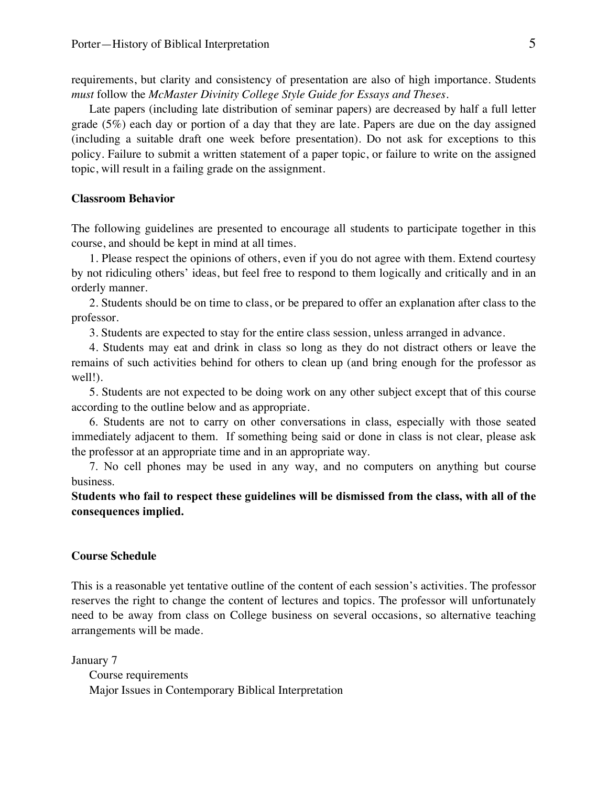requirements, but clarity and consistency of presentation are also of high importance. Students *must* follow the *McMaster Divinity College Style Guide for Essays and Theses*.

Late papers (including late distribution of seminar papers) are decreased by half a full letter grade (5%) each day or portion of a day that they are late. Papers are due on the day assigned (including a suitable draft one week before presentation). Do not ask for exceptions to this policy. Failure to submit a written statement of a paper topic, or failure to write on the assigned topic, will result in a failing grade on the assignment.

#### **Classroom Behavior**

The following guidelines are presented to encourage all students to participate together in this course, and should be kept in mind at all times.

1. Please respect the opinions of others, even if you do not agree with them. Extend courtesy by not ridiculing others' ideas, but feel free to respond to them logically and critically and in an orderly manner.

2. Students should be on time to class, or be prepared to offer an explanation after class to the professor.

3. Students are expected to stay for the entire class session, unless arranged in advance.

4. Students may eat and drink in class so long as they do not distract others or leave the remains of such activities behind for others to clean up (and bring enough for the professor as well!).

5. Students are not expected to be doing work on any other subject except that of this course according to the outline below and as appropriate.

6. Students are not to carry on other conversations in class, especially with those seated immediately adjacent to them. If something being said or done in class is not clear, please ask the professor at an appropriate time and in an appropriate way.

7. No cell phones may be used in any way, and no computers on anything but course business.

**Students who fail to respect these guidelines will be dismissed from the class, with all of the consequences implied.**

#### **Course Schedule**

This is a reasonable yet tentative outline of the content of each session's activities. The professor reserves the right to change the content of lectures and topics. The professor will unfortunately need to be away from class on College business on several occasions, so alternative teaching arrangements will be made.

January 7 Course requirements Major Issues in Contemporary Biblical Interpretation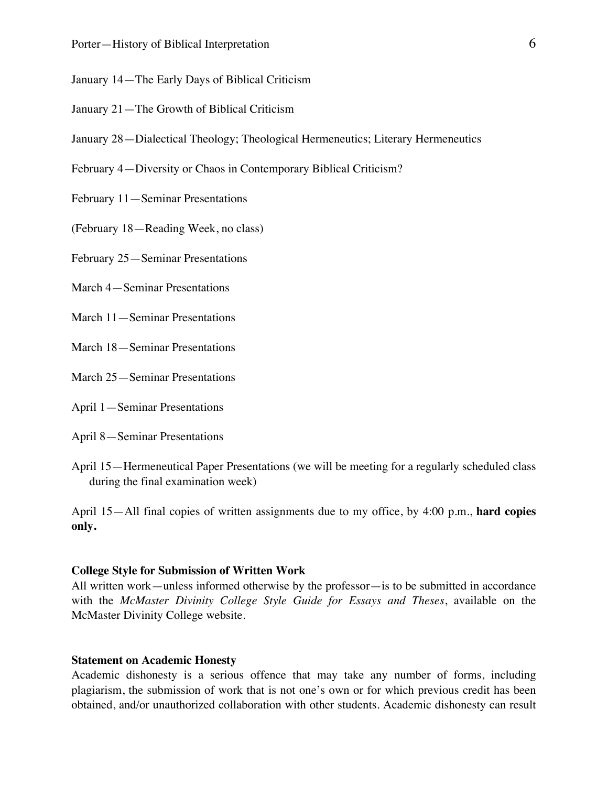- January 14—The Early Days of Biblical Criticism
- January 21—The Growth of Biblical Criticism
- January 28—Dialectical Theology; Theological Hermeneutics; Literary Hermeneutics
- February 4—Diversity or Chaos in Contemporary Biblical Criticism?
- February 11—Seminar Presentations
- (February 18—Reading Week, no class)
- February 25—Seminar Presentations
- March 4—Seminar Presentations
- March 11—Seminar Presentations
- March 18—Seminar Presentations
- March 25—Seminar Presentations
- April 1—Seminar Presentations
- April 8—Seminar Presentations
- April 15—Hermeneutical Paper Presentations (we will be meeting for a regularly scheduled class during the final examination week)

April 15—All final copies of written assignments due to my office, by 4:00 p.m., **hard copies only.**

#### **College Style for Submission of Written Work**

All written work—unless informed otherwise by the professor—is to be submitted in accordance with the *McMaster Divinity College Style Guide for Essays and Theses*, available on the McMaster Divinity College website.

#### **Statement on Academic Honesty**

Academic dishonesty is a serious offence that may take any number of forms, including plagiarism, the submission of work that is not one's own or for which previous credit has been obtained, and/or unauthorized collaboration with other students. Academic dishonesty can result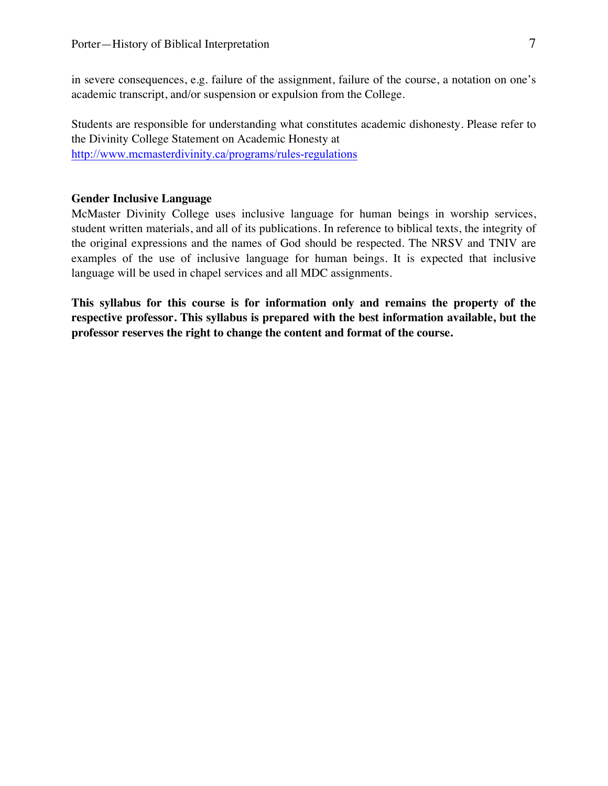in severe consequences, e.g. failure of the assignment, failure of the course, a notation on one's academic transcript, and/or suspension or expulsion from the College.

Students are responsible for understanding what constitutes academic dishonesty. Please refer to the Divinity College Statement on Academic Honesty at http://www.mcmasterdivinity.ca/programs/rules-regulations

### **Gender Inclusive Language**

McMaster Divinity College uses inclusive language for human beings in worship services, student written materials, and all of its publications. In reference to biblical texts, the integrity of the original expressions and the names of God should be respected. The NRSV and TNIV are examples of the use of inclusive language for human beings. It is expected that inclusive language will be used in chapel services and all MDC assignments.

**This syllabus for this course is for information only and remains the property of the respective professor. This syllabus is prepared with the best information available, but the professor reserves the right to change the content and format of the course.**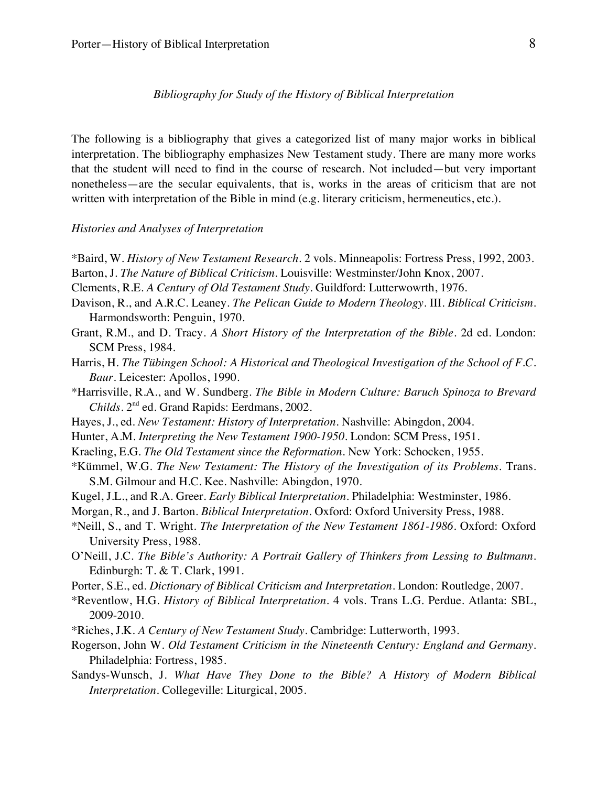*Bibliography for Study of the History of Biblical Interpretation*

The following is a bibliography that gives a categorized list of many major works in biblical interpretation. The bibliography emphasizes New Testament study. There are many more works that the student will need to find in the course of research. Not included—but very important nonetheless—are the secular equivalents, that is, works in the areas of criticism that are not written with interpretation of the Bible in mind (e.g. literary criticism, hermeneutics, etc.).

#### *Histories and Analyses of Interpretation*

- \*Baird, W. *History of New Testament Research*. 2 vols. Minneapolis: Fortress Press, 1992, 2003.
- Barton, J. *The Nature of Biblical Criticism*. Louisville: Westminster/John Knox, 2007.
- Clements, R.E. *A Century of Old Testament Study*. Guildford: Lutterwowrth, 1976.
- Davison, R., and A.R.C. Leaney. *The Pelican Guide to Modern Theology*. III. *Biblical Criticism*. Harmondsworth: Penguin, 1970.
- Grant, R.M., and D. Tracy. *A Short History of the Interpretation of the Bible.* 2d ed*.* London: SCM Press, 1984.
- Harris, H. *The Tübingen School: A Historical and Theological Investigation of the School of F.C. Baur*. Leicester: Apollos, 1990.
- \*Harrisville, R.A., and W. Sundberg. *The Bible in Modern Culture: Baruch Spinoza to Brevard Childs*. 2nd ed. Grand Rapids: Eerdmans, 2002.
- Hayes, J., ed. *New Testament: History of Interpretation*. Nashville: Abingdon, 2004.
- Hunter, A.M. *Interpreting the New Testament 1900-1950.* London: SCM Press, 1951.
- Kraeling, E.G. *The Old Testament since the Reformation*. New York: Schocken, 1955.
- \*Kümmel, W.G. *The New Testament: The History of the Investigation of its Problems*. Trans. S.M. Gilmour and H.C. Kee. Nashville: Abingdon, 1970.
- Kugel, J.L., and R.A. Greer. *Early Biblical Interpretation.* Philadelphia: Westminster, 1986.
- Morgan, R., and J. Barton. *Biblical Interpretation*. Oxford: Oxford University Press, 1988.
- \*Neill, S., and T. Wright. *The Interpretation of the New Testament 1861-1986*. Oxford: Oxford University Press, 1988.
- O'Neill, J.C. *The Bible's Authority: A Portrait Gallery of Thinkers from Lessing to Bultmann*. Edinburgh: T. & T. Clark, 1991.
- Porter, S.E., ed. *Dictionary of Biblical Criticism and Interpretation*. London: Routledge, 2007.
- \*Reventlow, H.G. *History of Biblical Interpretation*. 4 vols. Trans L.G. Perdue. Atlanta: SBL, 2009-2010.
- \*Riches, J.K. *A Century of New Testament Study*. Cambridge: Lutterworth, 1993.
- Rogerson, John W. *Old Testament Criticism in the Nineteenth Century: England and Germany*. Philadelphia: Fortress, 1985.
- Sandys-Wunsch, J. *What Have They Done to the Bible? A History of Modern Biblical Interpretation*. Collegeville: Liturgical, 2005.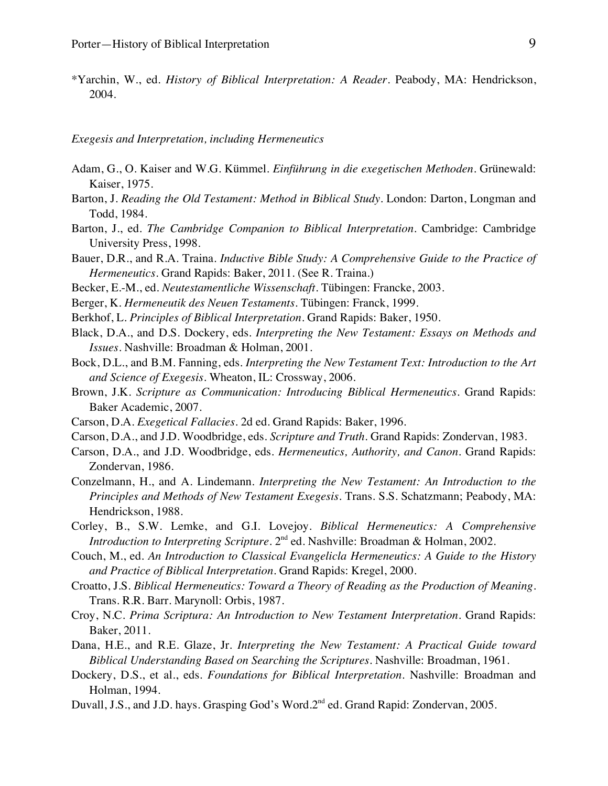\*Yarchin, W., ed. *History of Biblical Interpretation: A Reader*. Peabody, MA: Hendrickson, 2004.

*Exegesis and Interpretation, including Hermeneutics*

- Adam, G., O. Kaiser and W.G. Kümmel. *Einführung in die exegetischen Methoden*. Grünewald: Kaiser, 1975.
- Barton, J. *Reading the Old Testament: Method in Biblical Study*. London: Darton, Longman and Todd, 1984.
- Barton, J., ed. *The Cambridge Companion to Biblical Interpretation*. Cambridge: Cambridge University Press, 1998.
- Bauer, D.R., and R.A. Traina. *Inductive Bible Study: A Comprehensive Guide to the Practice of Hermeneutics*. Grand Rapids: Baker, 2011. (See R. Traina.)
- Becker, E.-M., ed. *Neutestamentliche Wissenschaft*. Tübingen: Francke, 2003.
- Berger, K. *Hermeneutik des Neuen Testaments*. Tübingen: Franck, 1999.
- Berkhof, L. *Principles of Biblical Interpretation*. Grand Rapids: Baker, 1950.
- Black, D.A., and D.S. Dockery, eds. *Interpreting the New Testament: Essays on Methods and Issues*. Nashville: Broadman & Holman, 2001.
- Bock, D.L., and B.M. Fanning, eds. *Interpreting the New Testament Text: Introduction to the Art and Science of Exegesis*. Wheaton, IL: Crossway, 2006.
- Brown, J.K. *Scripture as Communication: Introducing Biblical Hermeneutics*. Grand Rapids: Baker Academic, 2007.
- Carson, D.A. *Exegetical Fallacies*. 2d ed. Grand Rapids: Baker, 1996.
- Carson, D.A., and J.D. Woodbridge, eds. *Scripture and Truth*. Grand Rapids: Zondervan, 1983.
- Carson, D.A., and J.D. Woodbridge, eds. *Hermeneutics, Authority, and Canon.* Grand Rapids: Zondervan, 1986.
- Conzelmann, H., and A. Lindemann. *Interpreting the New Testament: An Introduction to the Principles and Methods of New Testament Exegesis*. Trans. S.S. Schatzmann; Peabody, MA: Hendrickson, 1988.
- Corley, B., S.W. Lemke, and G.I. Lovejoy. *Biblical Hermeneutics: A Comprehensive Introduction to Interpreting Scripture*. 2<sup>nd</sup> ed. Nashville: Broadman & Holman, 2002.
- Couch, M., ed. *An Introduction to Classical Evangelicla Hermeneutics: A Guide to the History and Practice of Biblical Interpretation*. Grand Rapids: Kregel, 2000.
- Croatto, J.S. *Biblical Hermeneutics: Toward a Theory of Reading as the Production of Meaning*. Trans. R.R. Barr. Marynoll: Orbis, 1987.
- Croy, N.C. *Prima Scriptura: An Introduction to New Testament Interpretation*. Grand Rapids: Baker, 2011.
- Dana, H.E., and R.E. Glaze, Jr. *Interpreting the New Testament: A Practical Guide toward Biblical Understanding Based on Searching the Scriptures*. Nashville: Broadman, 1961.
- Dockery, D.S., et al., eds. *Foundations for Biblical Interpretation*. Nashville: Broadman and Holman, 1994.
- Duvall, J.S., and J.D. hays. Grasping God's Word.2<sup>nd</sup> ed. Grand Rapid: Zondervan, 2005.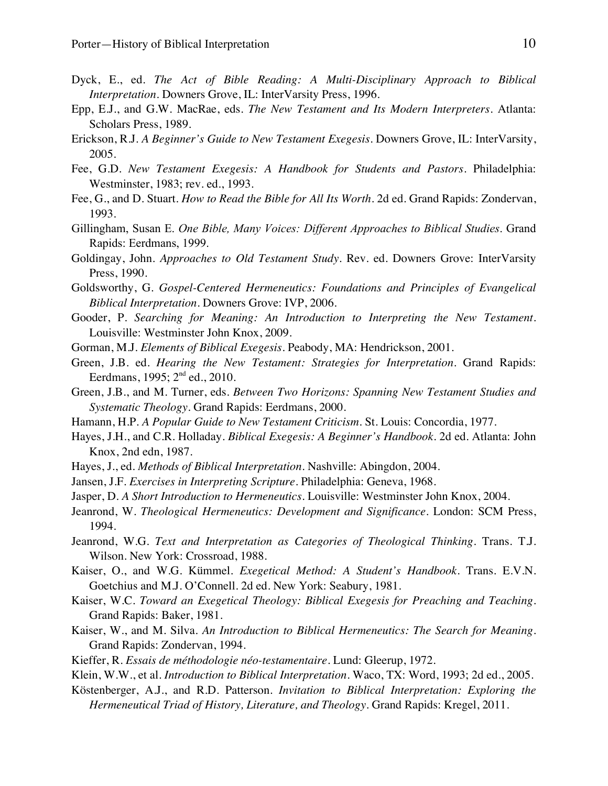- Dyck, E., ed. *The Act of Bible Reading: A Multi-Disciplinary Approach to Biblical Interpretation*. Downers Grove, IL: InterVarsity Press, 1996.
- Epp, E.J., and G.W. MacRae, eds. *The New Testament and Its Modern Interpreters*. Atlanta: Scholars Press, 1989.
- Erickson, R.J. *A Beginner's Guide to New Testament Exegesis*. Downers Grove, IL: InterVarsity, 2005.
- Fee, G.D. *New Testament Exegesis: A Handbook for Students and Pastors*. Philadelphia: Westminster, 1983; rev. ed., 1993.
- Fee, G., and D. Stuart. *How to Read the Bible for All Its Worth*. 2d ed. Grand Rapids: Zondervan, 1993.
- Gillingham, Susan E. *One Bible, Many Voices: Different Approaches to Biblical Studies*. Grand Rapids: Eerdmans, 1999.
- Goldingay, John. *Approaches to Old Testament Study*. Rev. ed. Downers Grove: InterVarsity Press, 1990.
- Goldsworthy, G. *Gospel-Centered Hermeneutics: Foundations and Principles of Evangelical Biblical Interpretation*. Downers Grove: IVP, 2006.
- Gooder, P. *Searching for Meaning: An Introduction to Interpreting the New Testament*. Louisville: Westminster John Knox, 2009.
- Gorman, M.J. *Elements of Biblical Exegesis*. Peabody, MA: Hendrickson, 2001.
- Green, J.B. ed. *Hearing the New Testament: Strategies for Interpretation*. Grand Rapids: Eerdmans, 1995; 2nd ed., 2010.
- Green, J.B., and M. Turner, eds. *Between Two Horizons: Spanning New Testament Studies and Systematic Theology*. Grand Rapids: Eerdmans, 2000.
- Hamann, H.P. *A Popular Guide to New Testament Criticism*. St. Louis: Concordia, 1977.
- Hayes, J.H., and C.R. Holladay. *Biblical Exegesis: A Beginner's Handbook.* 2d ed. Atlanta: John Knox, 2nd edn, 1987.
- Hayes, J., ed. *Methods of Biblical Interpretation*. Nashville: Abingdon, 2004.
- Jansen, J.F. *Exercises in Interpreting Scripture*. Philadelphia: Geneva, 1968.
- Jasper, D. *A Short Introduction to Hermeneutics*. Louisville: Westminster John Knox, 2004.
- Jeanrond, W. *Theological Hermeneutics: Development and Significance*. London: SCM Press, 1994.
- Jeanrond, W.G. *Text and Interpretation as Categories of Theological Thinking*. Trans. T.J. Wilson. New York: Crossroad, 1988.
- Kaiser, O., and W.G. Kümmel. *Exegetical Method: A Student's Handbook*. Trans. E.V.N. Goetchius and M.J. O'Connell. 2d ed. New York: Seabury, 1981.
- Kaiser, W.C. *Toward an Exegetical Theology: Biblical Exegesis for Preaching and Teaching*. Grand Rapids: Baker, 1981.
- Kaiser, W., and M. Silva. *An Introduction to Biblical Hermeneutics: The Search for Meaning*. Grand Rapids: Zondervan, 1994.
- Kieffer, R. *Essais de méthodologie néo-testamentaire*. Lund: Gleerup, 1972.
- Klein, W.W., et al. *Introduction to Biblical Interpretation.* Waco, TX: Word, 1993; 2d ed., 2005.
- Köstenberger, A.J., and R.D. Patterson. *Invitation to Biblical Interpretation: Exploring the Hermeneutical Triad of History, Literature, and Theology*. Grand Rapids: Kregel, 2011.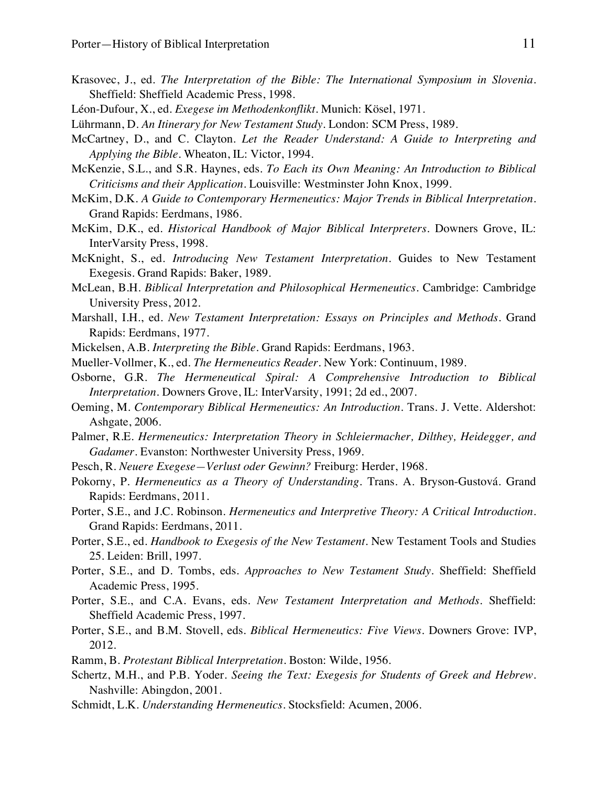- Krasovec, J., ed. *The Interpretation of the Bible: The International Symposium in Slovenia*. Sheffield: Sheffield Academic Press, 1998.
- Léon-Dufour, X., ed. *Exegese im Methodenkonflikt*. Munich: Kösel, 1971.
- Lührmann, D. *An Itinerary for New Testament Study*. London: SCM Press, 1989.
- McCartney, D., and C. Clayton. *Let the Reader Understand: A Guide to Interpreting and Applying the Bible*. Wheaton, IL: Victor, 1994.
- McKenzie, S.L., and S.R. Haynes, eds. *To Each its Own Meaning: An Introduction to Biblical Criticisms and their Application*. Louisville: Westminster John Knox, 1999.
- McKim, D.K. *A Guide to Contemporary Hermeneutics: Major Trends in Biblical Interpretation*. Grand Rapids: Eerdmans, 1986.
- McKim, D.K., ed. *Historical Handbook of Major Biblical Interpreters*. Downers Grove, IL: InterVarsity Press, 1998.
- McKnight, S., ed. *Introducing New Testament Interpretation*. Guides to New Testament Exegesis. Grand Rapids: Baker, 1989.
- McLean, B.H. *Biblical Interpretation and Philosophical Hermeneutics*. Cambridge: Cambridge University Press, 2012.
- Marshall, I.H., ed. *New Testament Interpretation: Essays on Principles and Methods*. Grand Rapids: Eerdmans, 1977.
- Mickelsen, A.B. *Interpreting the Bible*. Grand Rapids: Eerdmans, 1963.
- Mueller-Vollmer, K., ed. *The Hermeneutics Reader*. New York: Continuum, 1989.
- Osborne, G.R. *The Hermeneutical Spiral: A Comprehensive Introduction to Biblical Interpretation*. Downers Grove, IL: InterVarsity, 1991; 2d ed., 2007.
- Oeming, M. *Contemporary Biblical Hermeneutics: An Introduction*. Trans. J. Vette. Aldershot: Ashgate, 2006.
- Palmer, R.E. *Hermeneutics: Interpretation Theory in Schleiermacher, Dilthey, Heidegger, and Gadamer*. Evanston: Northwester University Press, 1969.
- Pesch, R. *Neuere Exegese—Verlust oder Gewinn?* Freiburg: Herder, 1968.
- Pokorny, P. *Hermeneutics as a Theory of Understanding.* Trans. A. Bryson-Gustová. Grand Rapids: Eerdmans, 2011.
- Porter, S.E., and J.C. Robinson. *Hermeneutics and Interpretive Theory: A Critical Introduction*. Grand Rapids: Eerdmans, 2011.
- Porter, S.E., ed. *Handbook to Exegesis of the New Testament*. New Testament Tools and Studies 25. Leiden: Brill, 1997.
- Porter, S.E., and D. Tombs, eds. *Approaches to New Testament Study*. Sheffield: Sheffield Academic Press, 1995.
- Porter, S.E., and C.A. Evans, eds. *New Testament Interpretation and Methods*. Sheffield: Sheffield Academic Press, 1997.
- Porter, S.E., and B.M. Stovell, eds. *Biblical Hermeneutics: Five Views*. Downers Grove: IVP, 2012.
- Ramm, B. *Protestant Biblical Interpretation.* Boston: Wilde, 1956.
- Schertz, M.H., and P.B. Yoder. *Seeing the Text: Exegesis for Students of Greek and Hebrew*. Nashville: Abingdon, 2001.
- Schmidt, L.K. *Understanding Hermeneutics*. Stocksfield: Acumen, 2006.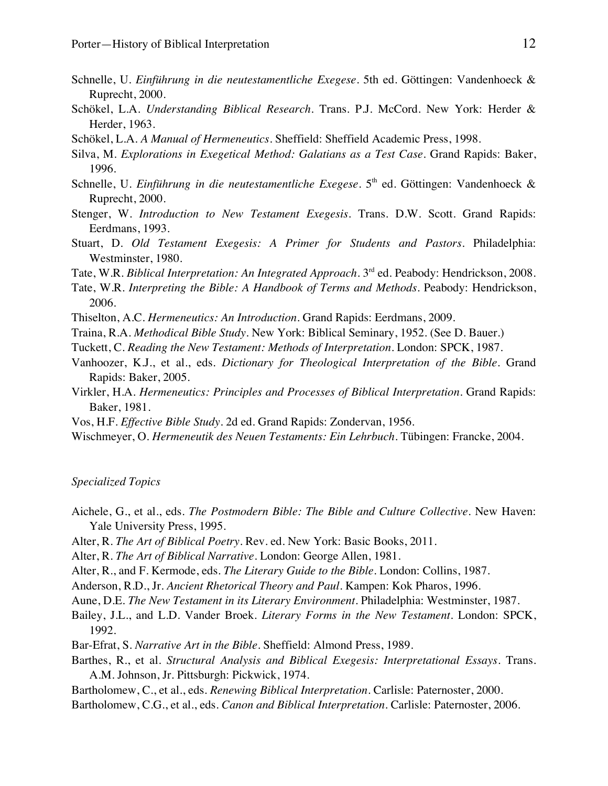- Schnelle, U. *Einführung in die neutestamentliche Exegese*. 5th ed. Göttingen: Vandenhoeck & Ruprecht, 2000.
- Schökel, L.A. *Understanding Biblical Research*. Trans. P.J. McCord. New York: Herder & Herder, 1963.
- Schökel, L.A. *A Manual of Hermeneutics*. Sheffield: Sheffield Academic Press, 1998.
- Silva, M. *Explorations in Exegetical Method: Galatians as a Test Case*. Grand Rapids: Baker, 1996.
- Schnelle, U. *Einführung in die neutestamentliche Exegese*. 5<sup>th</sup> ed. Göttingen: Vandenhoeck & Ruprecht, 2000.
- Stenger, W. *Introduction to New Testament Exegesis*. Trans. D.W. Scott. Grand Rapids: Eerdmans, 1993.
- Stuart, D. *Old Testament Exegesis: A Primer for Students and Pastors*. Philadelphia: Westminster, 1980.
- Tate, W.R. *Biblical Interpretation: An Integrated Approach*. 3rd ed. Peabody: Hendrickson, 2008.
- Tate, W.R. *Interpreting the Bible: A Handbook of Terms and Methods*. Peabody: Hendrickson, 2006.
- Thiselton, A.C. *Hermeneutics: An Introduction*. Grand Rapids: Eerdmans, 2009.
- Traina, R.A. *Methodical Bible Study*. New York: Biblical Seminary, 1952. (See D. Bauer.)
- Tuckett, C. *Reading the New Testament: Methods of Interpretation.* London: SPCK, 1987.
- Vanhoozer, K.J., et al., eds. *Dictionary for Theological Interpretation of the Bible*. Grand Rapids: Baker, 2005.
- Virkler, H.A. *Hermeneutics: Principles and Processes of Biblical Interpretation*. Grand Rapids: Baker, 1981.
- Vos, H.F. *Effective Bible Study*. 2d ed. Grand Rapids: Zondervan, 1956.
- Wischmeyer, O. *Hermeneutik des Neuen Testaments: Ein Lehrbuch*. Tübingen: Francke, 2004.

#### *Specialized Topics*

- Aichele, G., et al., eds. *The Postmodern Bible: The Bible and Culture Collective*. New Haven: Yale University Press, 1995.
- Alter, R. *The Art of Biblical Poetry*. Rev. ed. New York: Basic Books, 2011.
- Alter, R. *The Art of Biblical Narrative*. London: George Allen, 1981.
- Alter, R., and F. Kermode, eds. *The Literary Guide to the Bible.* London: Collins, 1987.
- Anderson, R.D., Jr. *Ancient Rhetorical Theory and Paul*. Kampen: Kok Pharos, 1996.
- Aune, D.E. *The New Testament in its Literary Environment.* Philadelphia: Westminster, 1987.
- Bailey, J.L., and L.D. Vander Broek. *Literary Forms in the New Testament.* London: SPCK, 1992.
- Bar-Efrat, S. *Narrative Art in the Bible*. Sheffield: Almond Press, 1989.
- Barthes, R., et al. *Structural Analysis and Biblical Exegesis: Interpretational Essays*. Trans. A.M. Johnson, Jr. Pittsburgh: Pickwick, 1974.
- Bartholomew, C., et al., eds. *Renewing Biblical Interpretation*. Carlisle: Paternoster, 2000.
- Bartholomew, C.G., et al., eds. *Canon and Biblical Interpretation*. Carlisle: Paternoster, 2006.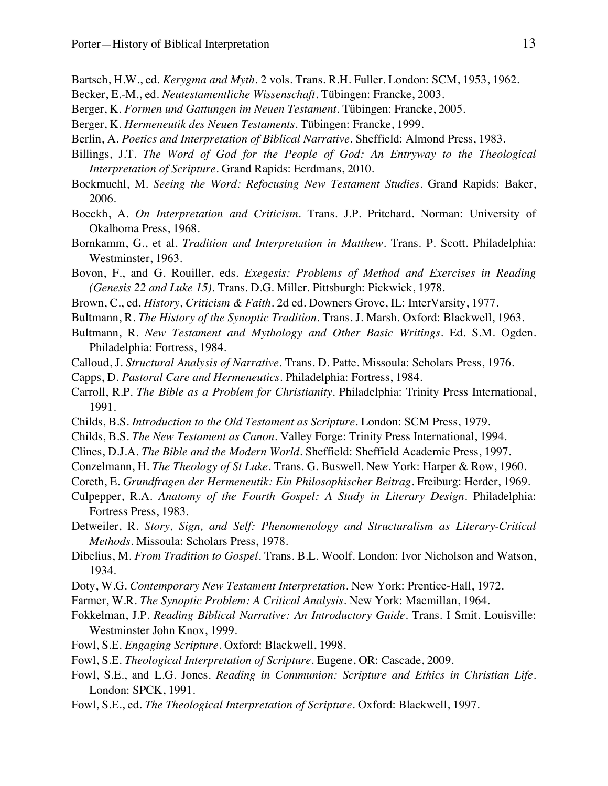- Bartsch, H.W., ed. *Kerygma and Myth*. 2 vols. Trans. R.H. Fuller. London: SCM, 1953, 1962.
- Becker, E.-M., ed. *Neutestamentliche Wissenschaft.* Tübingen: Francke, 2003.
- Berger, K. *Formen und Gattungen im Neuen Testament.* Tübingen: Francke, 2005.
- Berger, K. *Hermeneutik des Neuen Testaments*. Tübingen: Francke, 1999.
- Berlin, A. *Poetics and Interpretation of Biblical Narrative*. Sheffield: Almond Press, 1983.
- Billings, J.T. *The Word of God for the People of God: An Entryway to the Theological Interpretation of Scripture*. Grand Rapids: Eerdmans, 2010.
- Bockmuehl, M. *Seeing the Word: Refocusing New Testament Studies*. Grand Rapids: Baker, 2006.
- Boeckh, A. *On Interpretation and Criticism*. Trans. J.P. Pritchard. Norman: University of Okalhoma Press, 1968.
- Bornkamm, G., et al. *Tradition and Interpretation in Matthew*. Trans. P. Scott. Philadelphia: Westminster, 1963.
- Bovon, F., and G. Rouiller, eds. *Exegesis: Problems of Method and Exercises in Reading (Genesis 22 and Luke 15).* Trans. D.G. Miller. Pittsburgh: Pickwick, 1978.
- Brown, C., ed. *History, Criticism & Faith*. 2d ed. Downers Grove, IL: InterVarsity, 1977.
- Bultmann, R. *The History of the Synoptic Tradition.* Trans. J. Marsh. Oxford: Blackwell, 1963.
- Bultmann, R. *New Testament and Mythology and Other Basic Writings*. Ed. S.M. Ogden. Philadelphia: Fortress, 1984.
- Calloud, J. *Structural Analysis of Narrative*. Trans. D. Patte. Missoula: Scholars Press, 1976.
- Capps, D. *Pastoral Care and Hermeneutics*. Philadelphia: Fortress, 1984.
- Carroll, R.P. *The Bible as a Problem for Christianity*. Philadelphia: Trinity Press International, 1991.
- Childs, B.S. *Introduction to the Old Testament as Scripture*. London: SCM Press, 1979.
- Childs, B.S. *The New Testament as Canon*. Valley Forge: Trinity Press International, 1994.
- Clines, D.J.A. *The Bible and the Modern World*. Sheffield: Sheffield Academic Press, 1997.
- Conzelmann, H. *The Theology of St Luke*. Trans. G. Buswell. New York: Harper & Row, 1960.
- Coreth, E. *Grundfragen der Hermeneutik: Ein Philosophischer Beitrag*. Freiburg: Herder, 1969.
- Culpepper, R.A. *Anatomy of the Fourth Gospel: A Study in Literary Design*. Philadelphia: Fortress Press, 1983.
- Detweiler, R. *Story, Sign, and Self: Phenomenology and Structuralism as Literary-Critical Methods*. Missoula: Scholars Press, 1978.
- Dibelius, M. *From Tradition to Gospel.* Trans. B.L. Woolf. London: Ivor Nicholson and Watson, 1934.
- Doty, W.G. *Contemporary New Testament Interpretation*. New York: Prentice-Hall, 1972.
- Farmer, W.R. *The Synoptic Problem: A Critical Analysis*. New York: Macmillan, 1964.
- Fokkelman, J.P. *Reading Biblical Narrative: An Introductory Guide*. Trans. I Smit. Louisville: Westminster John Knox, 1999.
- Fowl, S.E. *Engaging Scripture*. Oxford: Blackwell, 1998.
- Fowl, S.E. *Theological Interpretation of Scripture*. Eugene, OR: Cascade, 2009.
- Fowl, S.E., and L.G. Jones. *Reading in Communion: Scripture and Ethics in Christian Life*. London: SPCK, 1991.
- Fowl, S.E., ed. *The Theological Interpretation of Scripture*. Oxford: Blackwell, 1997.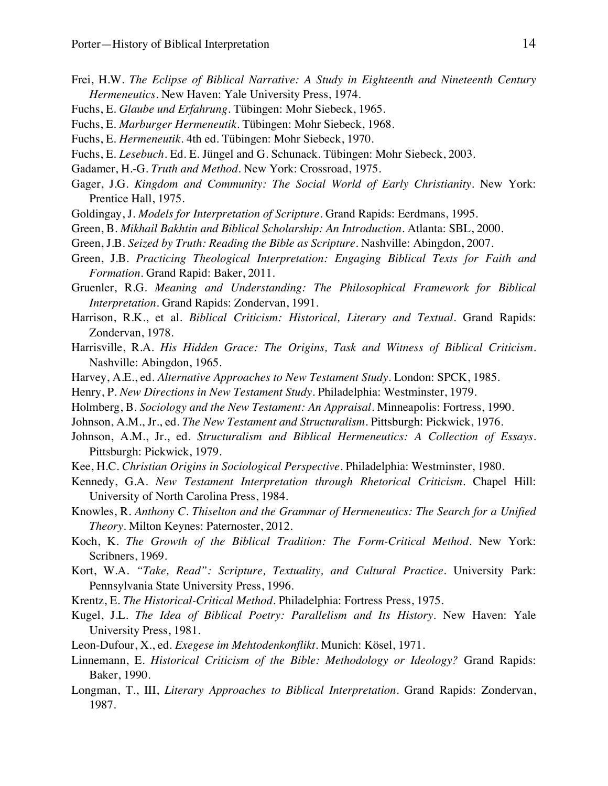- Frei, H.W. *The Eclipse of Biblical Narrative: A Study in Eighteenth and Nineteenth Century Hermeneutics.* New Haven: Yale University Press, 1974.
- Fuchs, E. *Glaube und Erfahrung*. Tübingen: Mohr Siebeck, 1965.
- Fuchs, E. *Marburger Hermeneutik*. Tübingen: Mohr Siebeck, 1968.
- Fuchs, E. *Hermeneutik*. 4th ed. Tübingen: Mohr Siebeck, 1970.
- Fuchs, E. *Lesebuch*. Ed. E. Jüngel and G. Schunack. Tübingen: Mohr Siebeck, 2003.
- Gadamer, H.-G. *Truth and Method*. New York: Crossroad, 1975.
- Gager, J.G. *Kingdom and Community: The Social World of Early Christianity.* New York: Prentice Hall, 1975.
- Goldingay, J. *Models for Interpretation of Scripture*. Grand Rapids: Eerdmans, 1995.
- Green, B. *Mikhail Bakhtin and Biblical Scholarship: An Introduction*. Atlanta: SBL, 2000.
- Green, J.B. *Seized by Truth: Reading the Bible as Scripture*. Nashville: Abingdon, 2007.
- Green, J.B. *Practicing Theological Interpretation: Engaging Biblical Texts for Faith and Formation*. Grand Rapid: Baker, 2011.
- Gruenler, R.G. *Meaning and Understanding: The Philosophical Framework for Biblical Interpretation*. Grand Rapids: Zondervan, 1991.
- Harrison, R.K., et al. *Biblical Criticism: Historical, Literary and Textual*. Grand Rapids: Zondervan, 1978.
- Harrisville, R.A. *His Hidden Grace: The Origins, Task and Witness of Biblical Criticism*. Nashville: Abingdon, 1965.
- Harvey, A.E., ed. *Alternative Approaches to New Testament Study*. London: SPCK, 1985.
- Henry, P. *New Directions in New Testament Study*. Philadelphia: Westminster, 1979.
- Holmberg, B. *Sociology and the New Testament: An Appraisal*. Minneapolis: Fortress, 1990.
- Johnson, A.M., Jr., ed. *The New Testament and Structuralism*. Pittsburgh: Pickwick, 1976.
- Johnson, A.M., Jr., ed. *Structuralism and Biblical Hermeneutics: A Collection of Essays*. Pittsburgh: Pickwick, 1979.
- Kee, H.C. *Christian Origins in Sociological Perspective*. Philadelphia: Westminster, 1980.
- Kennedy, G.A. *New Testament Interpretation through Rhetorical Criticism*. Chapel Hill: University of North Carolina Press, 1984.
- Knowles, R. *Anthony C. Thiselton and the Grammar of Hermeneutics: The Search for a Unified Theory*. Milton Keynes: Paternoster, 2012.
- Koch, K. *The Growth of the Biblical Tradition: The Form-Critical Method*. New York: Scribners, 1969.
- Kort, W.A. *"Take, Read": Scripture, Textuality, and Cultural Practice*. University Park: Pennsylvania State University Press, 1996.
- Krentz, E. *The Historical-Critical Method.* Philadelphia: Fortress Press, 1975.
- Kugel, J.L. *The Idea of Biblical Poetry: Parallelism and Its History*. New Haven: Yale University Press, 1981.
- Leon-Dufour, X., ed. *Exegese im Mehtodenkonflikt*. Munich: Kösel, 1971.
- Linnemann, E. *Historical Criticism of the Bible: Methodology or Ideology?* Grand Rapids: Baker, 1990.
- Longman, T., III, *Literary Approaches to Biblical Interpretation*. Grand Rapids: Zondervan, 1987.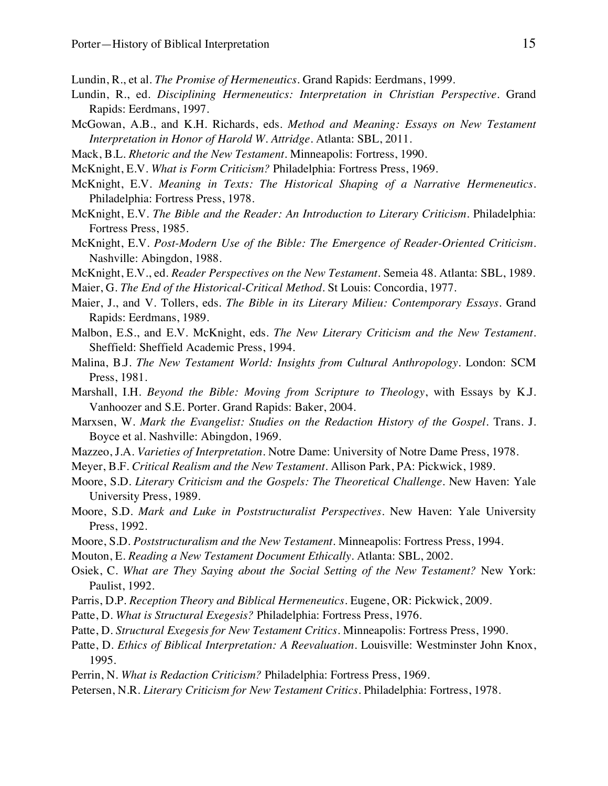Lundin, R., et al. *The Promise of Hermeneutics*. Grand Rapids: Eerdmans, 1999.

- Lundin, R., ed. *Disciplining Hermeneutics: Interpretation in Christian Perspective.* Grand Rapids: Eerdmans, 1997.
- McGowan, A.B., and K.H. Richards, eds. *Method and Meaning: Essays on New Testament Interpretation in Honor of Harold W. Attridge*. Atlanta: SBL, 2011.
- Mack, B.L. *Rhetoric and the New Testament.* Minneapolis: Fortress, 1990.
- McKnight, E.V. *What is Form Criticism?* Philadelphia: Fortress Press, 1969.
- McKnight, E.V. *Meaning in Texts: The Historical Shaping of a Narrative Hermeneutics*. Philadelphia: Fortress Press, 1978.
- McKnight, E.V. *The Bible and the Reader: An Introduction to Literary Criticism.* Philadelphia: Fortress Press, 1985.
- McKnight, E.V. *Post-Modern Use of the Bible: The Emergence of Reader-Oriented Criticism*. Nashville: Abingdon, 1988.
- McKnight, E.V., ed. *Reader Perspectives on the New Testament*. Semeia 48. Atlanta: SBL, 1989.
- Maier, G. *The End of the Historical-Critical Method*. St Louis: Concordia, 1977.
- Maier, J., and V. Tollers, eds. *The Bible in its Literary Milieu: Contemporary Essays*. Grand Rapids: Eerdmans, 1989.
- Malbon, E.S., and E.V. McKnight, eds. *The New Literary Criticism and the New Testament*. Sheffield: Sheffield Academic Press, 1994.
- Malina, B.J. *The New Testament World: Insights from Cultural Anthropology.* London: SCM Press, 1981.
- Marshall, I.H. *Beyond the Bible: Moving from Scripture to Theology*, with Essays by K.J. Vanhoozer and S.E. Porter. Grand Rapids: Baker, 2004.
- Marxsen, W. *Mark the Evangelist: Studies on the Redaction History of the Gospel.* Trans. J. Boyce et al. Nashville: Abingdon, 1969.
- Mazzeo, J.A. *Varieties of Interpretation*. Notre Dame: University of Notre Dame Press, 1978.
- Meyer, B.F. *Critical Realism and the New Testament*. Allison Park, PA: Pickwick, 1989.
- Moore, S.D. *Literary Criticism and the Gospels: The Theoretical Challenge*. New Haven: Yale University Press, 1989.
- Moore, S.D. *Mark and Luke in Poststructuralist Perspectives*. New Haven: Yale University Press, 1992.
- Moore, S.D. *Poststructuralism and the New Testament*. Minneapolis: Fortress Press, 1994.
- Mouton, E. *Reading a New Testament Document Ethically*. Atlanta: SBL, 2002.
- Osiek, C. *What are They Saying about the Social Setting of the New Testament?* New York: Paulist, 1992.
- Parris, D.P. *Reception Theory and Biblical Hermeneutics*. Eugene, OR: Pickwick, 2009.
- Patte, D. *What is Structural Exegesis?* Philadelphia: Fortress Press, 1976.
- Patte, D. *Structural Exegesis for New Testament Critics.* Minneapolis: Fortress Press, 1990.
- Patte, D. *Ethics of Biblical Interpretation: A Reevaluation*. Louisville: Westminster John Knox, 1995.
- Perrin, N. *What is Redaction Criticism?* Philadelphia: Fortress Press, 1969.
- Petersen, N.R. *Literary Criticism for New Testament Critics*. Philadelphia: Fortress, 1978.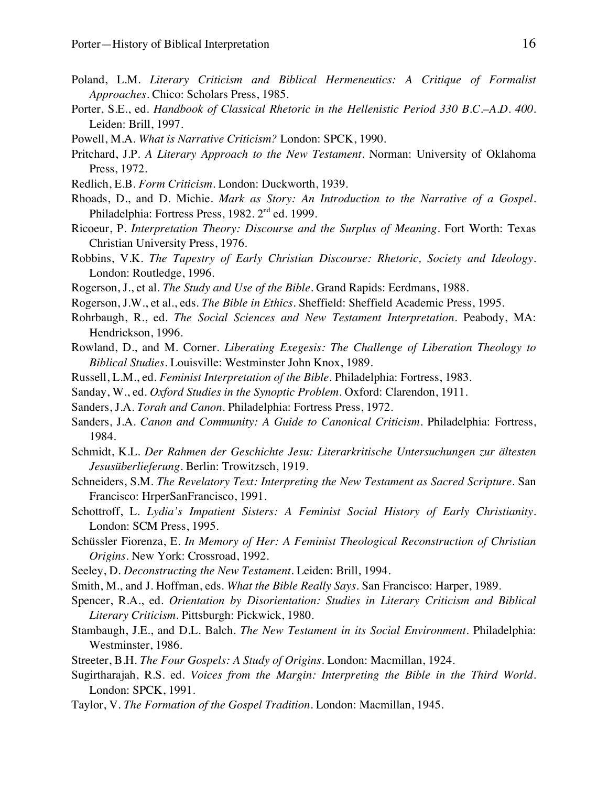- Poland, L.M. *Literary Criticism and Biblical Hermeneutics: A Critique of Formalist Approaches*. Chico: Scholars Press, 1985.
- Porter, S.E., ed. *Handbook of Classical Rhetoric in the Hellenistic Period 330 B.C.–A.D. 400*. Leiden: Brill, 1997.
- Powell, M.A. *What is Narrative Criticism?* London: SPCK, 1990.
- Pritchard, J.P. *A Literary Approach to the New Testament*. Norman: University of Oklahoma Press, 1972.
- Redlich, E.B. *Form Criticism*. London: Duckworth, 1939.
- Rhoads, D., and D. Michie. *Mark as Story: An Introduction to the Narrative of a Gospel*. Philadelphia: Fortress Press, 1982. 2<sup>nd</sup> ed. 1999.
- Ricoeur, P. *Interpretation Theory: Discourse and the Surplus of Meaning*. Fort Worth: Texas Christian University Press, 1976.
- Robbins, V.K. *The Tapestry of Early Christian Discourse: Rhetoric, Society and Ideology*. London: Routledge, 1996.
- Rogerson, J., et al. *The Study and Use of the Bible*. Grand Rapids: Eerdmans, 1988.
- Rogerson, J.W., et al., eds. *The Bible in Ethics*. Sheffield: Sheffield Academic Press, 1995.
- Rohrbaugh, R., ed. *The Social Sciences and New Testament Interpretation.* Peabody, MA: Hendrickson, 1996.
- Rowland, D., and M. Corner. *Liberating Exegesis: The Challenge of Liberation Theology to Biblical Studies*. Louisville: Westminster John Knox, 1989.
- Russell, L.M., ed. *Feminist Interpretation of the Bible*. Philadelphia: Fortress, 1983.
- Sanday, W., ed. *Oxford Studies in the Synoptic Problem*. Oxford: Clarendon, 1911.
- Sanders, J.A. *Torah and Canon*. Philadelphia: Fortress Press, 1972.
- Sanders, J.A. *Canon and Community: A Guide to Canonical Criticism*. Philadelphia: Fortress, 1984.
- Schmidt, K.L. *Der Rahmen der Geschichte Jesu: Literarkritische Untersuchungen zur ältesten Jesusüberlieferung*. Berlin: Trowitzsch, 1919.
- Schneiders, S.M. *The Revelatory Text: Interpreting the New Testament as Sacred Scripture*. San Francisco: HrperSanFrancisco, 1991.
- Schottroff, L. *Lydia's Impatient Sisters: A Feminist Social History of Early Christianity*. London: SCM Press, 1995.
- Schüssler Fiorenza, E. *In Memory of Her: A Feminist Theological Reconstruction of Christian Origins*. New York: Crossroad, 1992.
- Seeley, D. *Deconstructing the New Testament*. Leiden: Brill, 1994.
- Smith, M., and J. Hoffman, eds. *What the Bible Really Says*. San Francisco: Harper, 1989.
- Spencer, R.A., ed. *Orientation by Disorientation: Studies in Literary Criticism and Biblical Literary Criticism*. Pittsburgh: Pickwick, 1980.
- Stambaugh, J.E., and D.L. Balch. *The New Testament in its Social Environment*. Philadelphia: Westminster, 1986.
- Streeter, B.H. *The Four Gospels: A Study of Origins.* London: Macmillan, 1924.
- Sugirtharajah, R.S. ed. *Voices from the Margin: Interpreting the Bible in the Third World*. London: SPCK, 1991.
- Taylor, V. *The Formation of the Gospel Tradition*. London: Macmillan, 1945.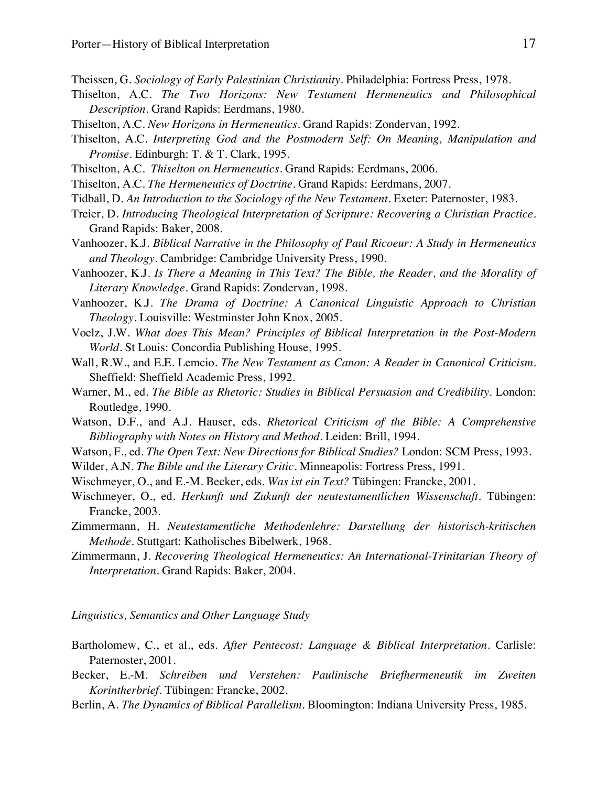- Theissen, G. *Sociology of Early Palestinian Christianity*. Philadelphia: Fortress Press, 1978.
- Thiselton, A.C. *The Two Horizons: New Testament Hermeneutics and Philosophical Description*. Grand Rapids: Eerdmans, 1980.
- Thiselton, A.C. *New Horizons in Hermeneutics.* Grand Rapids: Zondervan, 1992.
- Thiselton, A.C. *Interpreting God and the Postmodern Self: On Meaning, Manipulation and Promise*. Edinburgh: T. & T. Clark, 1995.
- Thiselton, A.C. *Thiselton on Hermeneutics*. Grand Rapids: Eerdmans, 2006.
- Thiselton, A.C. *The Hermeneutics of Doctrine*. Grand Rapids: Eerdmans, 2007.
- Tidball, D. *An Introduction to the Sociology of the New Testament*. Exeter: Paternoster, 1983.
- Treier, D*. Introducing Theological Interpretation of Scripture: Recovering a Christian Practice*. Grand Rapids: Baker, 2008.
- Vanhoozer, K.J. *Biblical Narrative in the Philosophy of Paul Ricoeur: A Study in Hermeneutics and Theology*. Cambridge: Cambridge University Press, 1990.
- Vanhoozer, K.J. *Is There a Meaning in This Text? The Bible, the Reader, and the Morality of Literary Knowledge*. Grand Rapids: Zondervan, 1998.
- Vanhoozer, K.J. *The Drama of Doctrine: A Canonical Linguistic Approach to Christian Theology*. Louisville: Westminster John Knox, 2005.
- Voelz, J.W. *What does This Mean? Principles of Biblical Interpretation in the Post-Modern World*. St Louis: Concordia Publishing House, 1995.
- Wall, R.W., and E.E. Lemcio. *The New Testament as Canon: A Reader in Canonical Criticism*. Sheffield: Sheffield Academic Press, 1992.
- Warner, M., ed. *The Bible as Rhetoric: Studies in Biblical Persuasion and Credibility*. London: Routledge, 1990.
- Watson, D.F., and A.J. Hauser, eds. *Rhetorical Criticism of the Bible: A Comprehensive Bibliography with Notes on History and Method*. Leiden: Brill, 1994.
- Watson, F., ed. *The Open Text: New Directions for Biblical Studies?* London: SCM Press, 1993.
- Wilder, A.N. *The Bible and the Literary Critic*. Minneapolis: Fortress Press, 1991.
- Wischmeyer, O., and E.-M. Becker, eds. *Was ist ein Text?* Tübingen: Francke, 2001.
- Wischmeyer, O., ed. *Herkunft und Zukunft der neutestamentlichen Wissenschaft.* Tübingen: Francke, 2003.
- Zimmermann, H. *Neutestamentliche Methodenlehre: Darstellung der historisch-kritischen Methode*. Stuttgart: Katholisches Bibelwerk, 1968.
- Zimmermann, J. *Recovering Theological Hermeneutics: An International-Trinitarian Theory of Interpretation*. Grand Rapids: Baker, 2004.

*Linguistics, Semantics and Other Language Study*

- Bartholomew, C., et al., eds. *After Pentecost: Language & Biblical Interpretation*. Carlisle: Paternoster, 2001.
- Becker, E.-M. *Schreiben und Verstehen: Paulinische Briefhermeneutik im Zweiten Korintherbrief.* Tübingen: Francke, 2002.
- Berlin, A. *The Dynamics of Biblical Parallelism*. Bloomington: Indiana University Press, 1985.